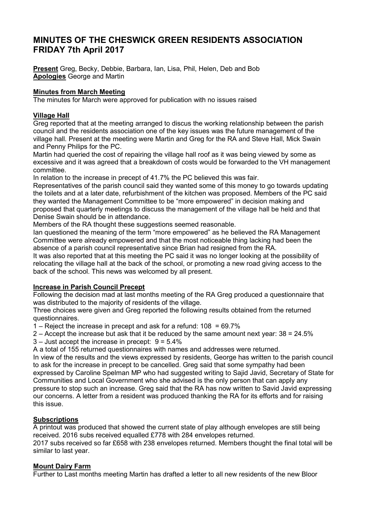# MINUTES OF THE CHESWICK GREEN RESIDENTS ASSOCIATION FRIDAY 7th April 2017

Present Greg, Becky, Debbie, Barbara, Ian, Lisa, Phil, Helen, Deb and Bob Apologies George and Martin

# Minutes from March Meeting

The minutes for March were approved for publication with no issues raised

## Village Hall

Greg reported that at the meeting arranged to discus the working relationship between the parish council and the residents association one of the key issues was the future management of the village hall. Present at the meeting were Martin and Greg for the RA and Steve Hall, Mick Swain and Penny Philips for the PC.

Martin had queried the cost of repairing the village hall roof as it was being viewed by some as excessive and it was agreed that a breakdown of costs would be forwarded to the VH management committee.

In relation to the increase in precept of 41.7% the PC believed this was fair.

Representatives of the parish council said they wanted some of this money to go towards updating the toilets and at a later date, refurbishment of the kitchen was proposed. Members of the PC said they wanted the Management Committee to be "more empowered" in decision making and proposed that quarterly meetings to discuss the management of the village hall be held and that Denise Swain should be in attendance.

Members of the RA thought these suggestions seemed reasonable.

Ian questioned the meaning of the term "more empowered" as he believed the RA Management Committee were already empowered and that the most noticeable thing lacking had been the absence of a parish council representative since Brian had resigned from the RA.

It was also reported that at this meeting the PC said it was no longer looking at the possibility of relocating the village hall at the back of the school, or promoting a new road giving access to the back of the school. This news was welcomed by all present.

## Increase in Parish Council Precept

Following the decision mad at last months meeting of the RA Greg produced a questionnaire that was distributed to the majority of residents of the village.

Three choices were given and Greg reported the following results obtained from the returned questionnaires.

1 – Reject the increase in precept and ask for a refund: 108 = 69.7%

- 2 Accept the increase but ask that it be reduced by the same amount next year:  $38 = 24.5\%$
- $3 -$  Just accept the increase in precept:  $9 = 5.4\%$

A a total of 155 returned questionnaires with names and addresses were returned.

In view of the results and the views expressed by residents, George has written to the parish council to ask for the increase in precept to be cancelled. Greg said that some sympathy had been expressed by Caroline Spelman MP who had suggested writing to Sajid Javid, Secretary of State for Communities and Local Government who she advised is the only person that can apply any pressure to stop such an increase. Greg said that the RA has now written to Savid Javid expressing our concerns. A letter from a resident was produced thanking the RA for its efforts and for raising this issue.

## **Subscriptions**

A printout was produced that showed the current state of play although envelopes are still being received. 2016 subs received equalled £778 with 284 envelopes returned.

2017 subs received so far £658 with 238 envelopes returned. Members thought the final total will be similar to last year.

## Mount Dairy Farm

Further to Last months meeting Martin has drafted a letter to all new residents of the new Bloor